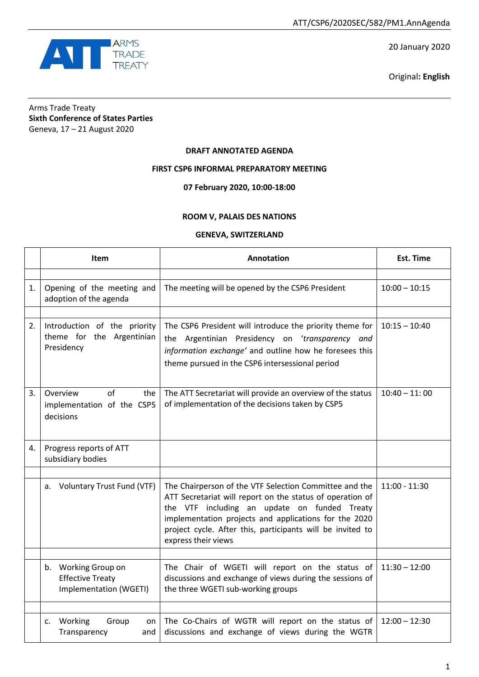

20 January 2020

Original**: English**

# Arms Trade Treaty **Sixth Conference of States Parties** Geneva, 17 – 21 August 2020

### **DRAFT ANNOTATED AGENDA**

## **FIRST CSP6 INFORMAL PREPARATORY MEETING**

**07 February 2020, 10:00-18:00**

### **ROOM V, PALAIS DES NATIONS**

### **GENEVA, SWITZERLAND**

|    | <b>Item</b>                                                              | <b>Annotation</b>                                                                                                                                                                                                                                                                                                 | <b>Est. Time</b> |
|----|--------------------------------------------------------------------------|-------------------------------------------------------------------------------------------------------------------------------------------------------------------------------------------------------------------------------------------------------------------------------------------------------------------|------------------|
|    |                                                                          |                                                                                                                                                                                                                                                                                                                   |                  |
| 1. | Opening of the meeting and<br>adoption of the agenda                     | The meeting will be opened by the CSP6 President                                                                                                                                                                                                                                                                  | $10:00 - 10:15$  |
| 2. | Introduction of the priority<br>theme for the Argentinian<br>Presidency  | The CSP6 President will introduce the priority theme for<br>the Argentinian Presidency on 'transparency and<br>information exchange' and outline how he foresees this<br>theme pursued in the CSP6 intersessional period                                                                                          | $10:15 - 10:40$  |
| 3. | Overview<br>of<br>the<br>implementation of the CSP5<br>decisions         | The ATT Secretariat will provide an overview of the status<br>of implementation of the decisions taken by CSP5                                                                                                                                                                                                    | $10:40 - 11:00$  |
| 4. | Progress reports of ATT<br>subsidiary bodies                             |                                                                                                                                                                                                                                                                                                                   |                  |
|    | <b>Voluntary Trust Fund (VTF)</b><br>a.                                  | The Chairperson of the VTF Selection Committee and the<br>ATT Secretariat will report on the status of operation of<br>the VTF including an update on funded Treaty<br>implementation projects and applications for the 2020<br>project cycle. After this, participants will be invited to<br>express their views | $11:00 - 11:30$  |
|    | b. Working Group on<br><b>Effective Treaty</b><br>Implementation (WGETI) | The Chair of WGETI will report on the status of<br>discussions and exchange of views during the sessions of<br>the three WGETI sub-working groups                                                                                                                                                                 | $11:30 - 12:00$  |
|    | Working<br>Group<br>c.<br>on<br>Transparency<br>and                      | The Co-Chairs of WGTR will report on the status of<br>discussions and exchange of views during the WGTR                                                                                                                                                                                                           | $12:00 - 12:30$  |